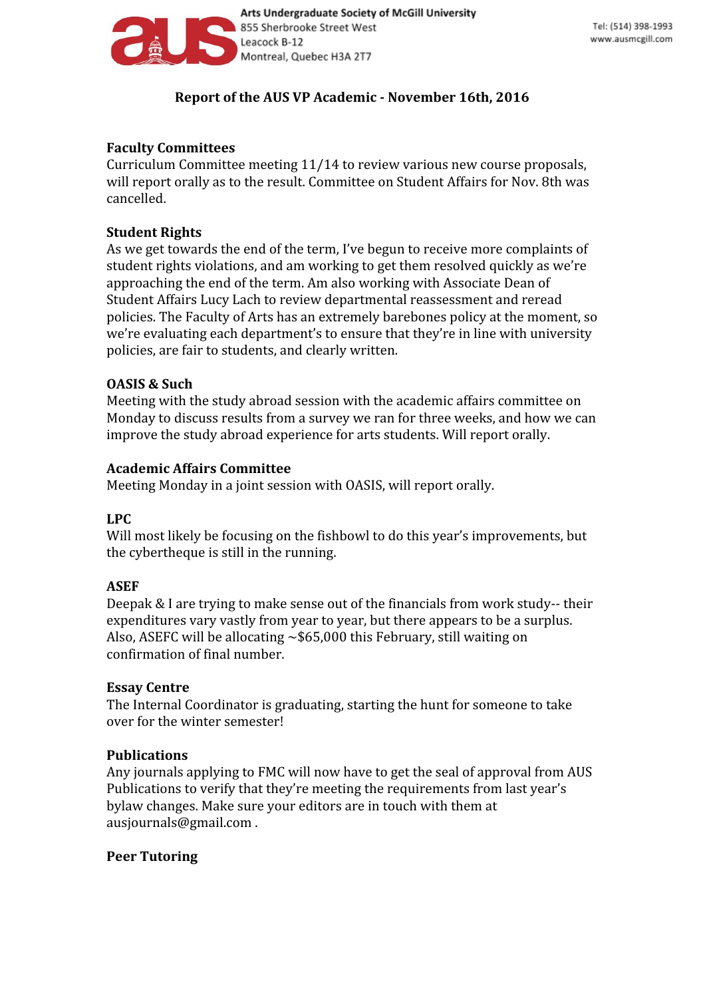

# **Report of the AUS VP Academic - November 16th, 2016**

# **Faculty Committees**

Curriculum Committee meeting 11/14 to review various new course proposals, will report orally as to the result. Committee on Student Affairs for Nov. 8th was cancelled.

## **Student Rights**

As we get towards the end of the term, I've begun to receive more complaints of student rights violations, and am working to get them resolved quickly as we're approaching the end of the term. Am also working with Associate Dean of Student Affairs Lucy Lach to review departmental reassessment and reread policies. The Faculty of Arts has an extremely barebones policy at the moment, so we're evaluating each department's to ensure that they're in line with university policies, are fair to students, and clearly written.

## **OASIS & Such**

Meeting with the study abroad session with the academic affairs committee on Monday to discuss results from a survey we ran for three weeks, and how we can improve the study abroad experience for arts students. Will report orally.

### **Academic Affairs Committee**

Meeting Monday in a joint session with OASIS, will report orally.

### **LPC**

Will most likely be focusing on the fishbowl to do this year's improvements, but the cybertheque is still in the running.

### **ASEF**

Deepak & I are trying to make sense out of the financials from work study-- their expenditures vary vastly from year to year, but there appears to be a surplus. Also, ASEFC will be allocating  $\sim $65,000$  this February, still waiting on confirmation of final number.

### **Essay Centre**

The Internal Coordinator is graduating, starting the hunt for someone to take over for the winter semester!

# **Publications**

Any journals applying to FMC will now have to get the seal of approval from AUS Publications to verify that they're meeting the requirements from last year's bylaw changes. Make sure your editors are in touch with them at ausjournals@gmail.com .

# **Peer Tutoring**